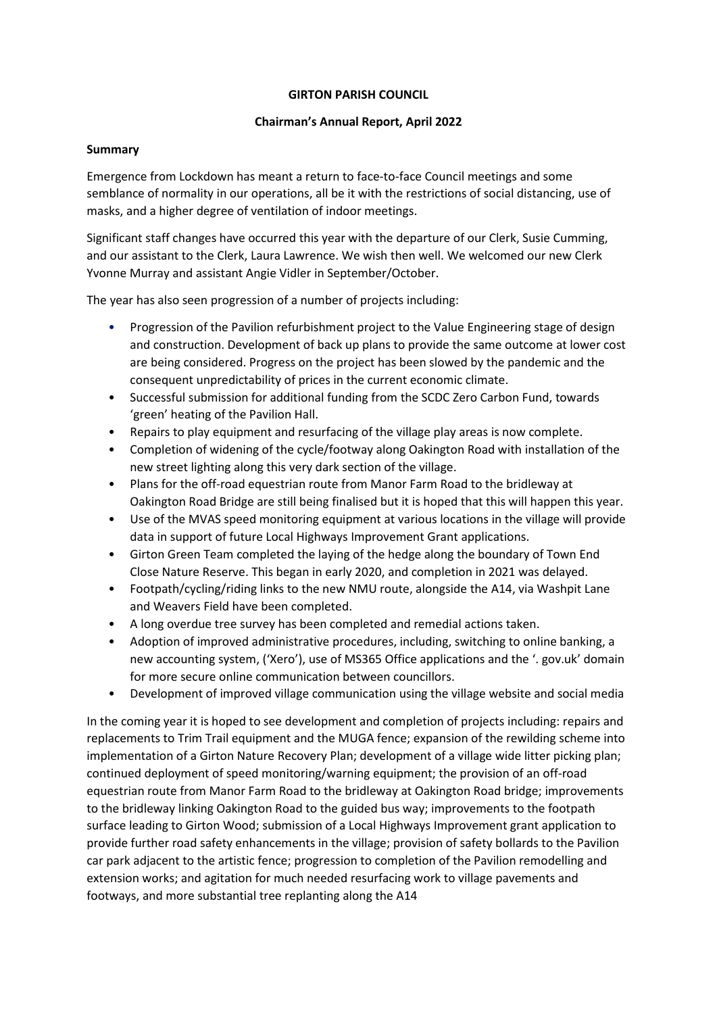### **GIRTON PARISH COUNCIL**

### **Chairman's Annual Report, April 2022**

### **Summary**

Emergence from Lockdown has meant a return to face-to-face Council meetings and some semblance of normality in our operations, all be it with the restrictions of social distancing, use of masks, and a higher degree of ventilation of indoor meetings.

Significant staff changes have occurred this year with the departure of our Clerk, Susie Cumming, and our assistant to the Clerk, Laura Lawrence. We wish then well. We welcomed our new Clerk Yvonne Murray and assistant Angie Vidler in September/October.

The year has also seen progression of a number of projects including:

- Progression of the Pavilion refurbishment project to the Value Engineering stage of design and construction. Development of back up plans to provide the same outcome at lower cost are being considered. Progress on the project has been slowed by the pandemic and the consequent unpredictability of prices in the current economic climate.
- Successful submission for additional funding from the SCDC Zero Carbon Fund, towards 'green' heating of the Pavilion Hall.
- Repairs to play equipment and resurfacing of the village play areas is now complete.
- Completion of widening of the cycle/footway along Oakington Road with installation of the new street lighting along this very dark section of the village.
- Plans for the off-road equestrian route from Manor Farm Road to the bridleway at Oakington Road Bridge are still being finalised but it is hoped that this will happen this year.
- Use of the MVAS speed monitoring equipment at various locations in the village will provide data in support of future Local Highways Improvement Grant applications.
- Girton Green Team completed the laying of the hedge along the boundary of Town End Close Nature Reserve. This began in early 2020, and completion in 2021 was delayed.
- Footpath/cycling/riding links to the new NMU route, alongside the A14, via Washpit Lane and Weavers Field have been completed.
- A long overdue tree survey has been completed and remedial actions taken.
- Adoption of improved administrative procedures, including, switching to online banking, a new accounting system, ('Xero'), use of MS365 Office applications and the '. gov.uk' domain for more secure online communication between councillors.
- Development of improved village communication using the village website and social media

In the coming year it is hoped to see development and completion of projects including: repairs and replacements to Trim Trail equipment and the MUGA fence; expansion of the rewilding scheme into implementation of a Girton Nature Recovery Plan; development of a village wide litter picking plan; continued deployment of speed monitoring/warning equipment; the provision of an off-road equestrian route from Manor Farm Road to the bridleway at Oakington Road bridge; improvements to the bridleway linking Oakington Road to the guided bus way; improvements to the footpath surface leading to Girton Wood; submission of a Local Highways Improvement grant application to provide further road safety enhancements in the village; provision of safety bollards to the Pavilion car park adjacent to the artistic fence; progression to completion of the Pavilion remodelling and extension works; and agitation for much needed resurfacing work to village pavements and footways, and more substantial tree replanting along the A14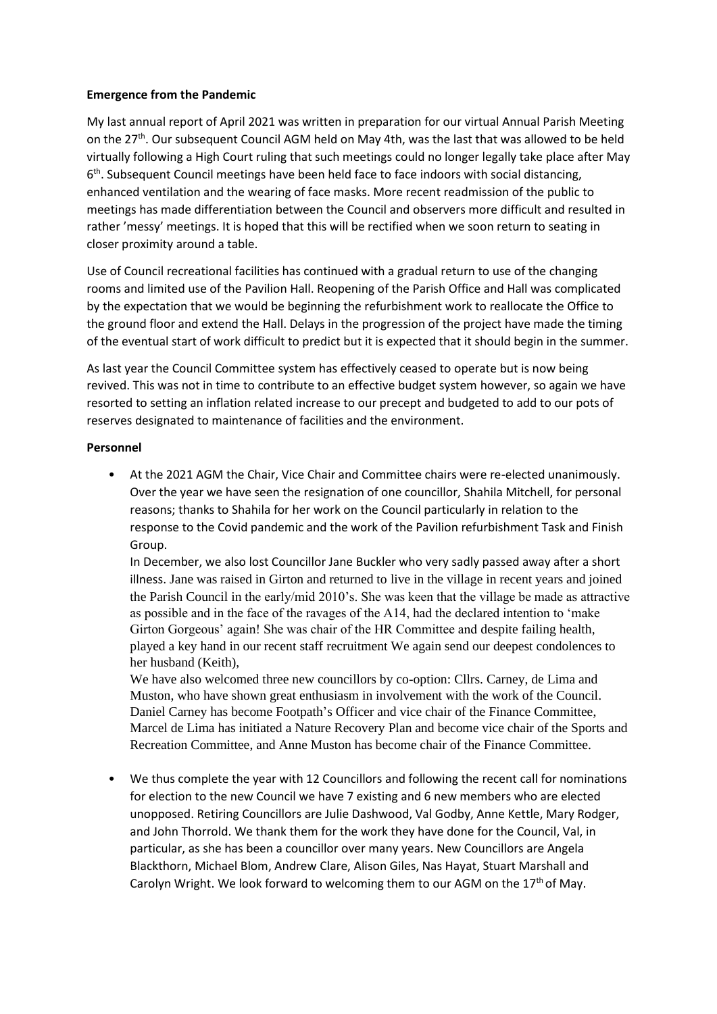### **Emergence from the Pandemic**

My last annual report of April 2021 was written in preparation for our virtual Annual Parish Meeting on the 27<sup>th</sup>. Our subsequent Council AGM held on May 4th, was the last that was allowed to be held virtually following a High Court ruling that such meetings could no longer legally take place after May 6<sup>th</sup>. Subsequent Council meetings have been held face to face indoors with social distancing, enhanced ventilation and the wearing of face masks. More recent readmission of the public to meetings has made differentiation between the Council and observers more difficult and resulted in rather 'messy' meetings. It is hoped that this will be rectified when we soon return to seating in closer proximity around a table.

Use of Council recreational facilities has continued with a gradual return to use of the changing rooms and limited use of the Pavilion Hall. Reopening of the Parish Office and Hall was complicated by the expectation that we would be beginning the refurbishment work to reallocate the Office to the ground floor and extend the Hall. Delays in the progression of the project have made the timing of the eventual start of work difficult to predict but it is expected that it should begin in the summer.

As last year the Council Committee system has effectively ceased to operate but is now being revived. This was not in time to contribute to an effective budget system however, so again we have resorted to setting an inflation related increase to our precept and budgeted to add to our pots of reserves designated to maintenance of facilities and the environment.

### **Personnel**

• At the 2021 AGM the Chair, Vice Chair and Committee chairs were re-elected unanimously. Over the year we have seen the resignation of one councillor, Shahila Mitchell, for personal reasons; thanks to Shahila for her work on the Council particularly in relation to the response to the Covid pandemic and the work of the Pavilion refurbishment Task and Finish Group.

In December, we also lost Councillor Jane Buckler who very sadly passed away after a short illness. Jane was raised in Girton and returned to live in the village in recent years and joined the Parish Council in the early/mid 2010's. She was keen that the village be made as attractive as possible and in the face of the ravages of the A14, had the declared intention to 'make Girton Gorgeous' again! She was chair of the HR Committee and despite failing health, played a key hand in our recent staff recruitment We again send our deepest condolences to her husband (Keith),

We have also welcomed three new councillors by co-option: Cllrs. Carney, de Lima and Muston, who have shown great enthusiasm in involvement with the work of the Council. Daniel Carney has become Footpath's Officer and vice chair of the Finance Committee, Marcel de Lima has initiated a Nature Recovery Plan and become vice chair of the Sports and Recreation Committee, and Anne Muston has become chair of the Finance Committee.

• We thus complete the year with 12 Councillors and following the recent call for nominations for election to the new Council we have 7 existing and 6 new members who are elected unopposed. Retiring Councillors are Julie Dashwood, Val Godby, Anne Kettle, Mary Rodger, and John Thorrold. We thank them for the work they have done for the Council, Val, in particular, as she has been a councillor over many years. New Councillors are Angela Blackthorn, Michael Blom, Andrew Clare, Alison Giles, Nas Hayat, Stuart Marshall and Carolyn Wright. We look forward to welcoming them to our AGM on the  $17<sup>th</sup>$  of May.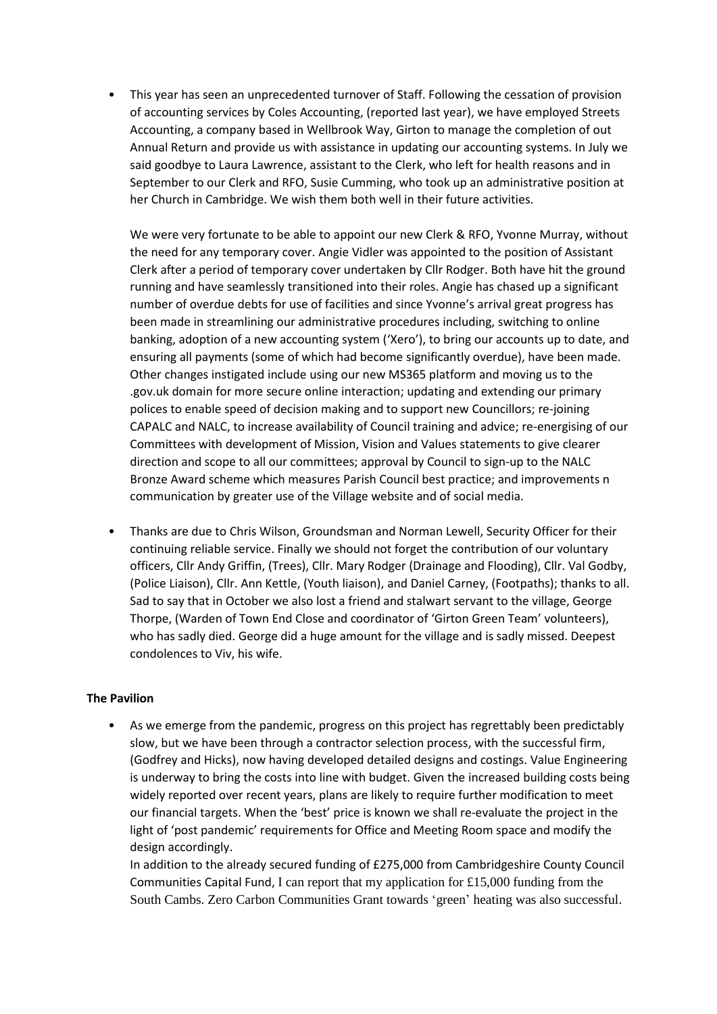• This year has seen an unprecedented turnover of Staff. Following the cessation of provision of accounting services by Coles Accounting, (reported last year), we have employed Streets Accounting, a company based in Wellbrook Way, Girton to manage the completion of out Annual Return and provide us with assistance in updating our accounting systems. In July we said goodbye to Laura Lawrence, assistant to the Clerk, who left for health reasons and in September to our Clerk and RFO, Susie Cumming, who took up an administrative position at her Church in Cambridge. We wish them both well in their future activities.

We were very fortunate to be able to appoint our new Clerk & RFO, Yvonne Murray, without the need for any temporary cover. Angie Vidler was appointed to the position of Assistant Clerk after a period of temporary cover undertaken by Cllr Rodger. Both have hit the ground running and have seamlessly transitioned into their roles. Angie has chased up a significant number of overdue debts for use of facilities and since Yvonne's arrival great progress has been made in streamlining our administrative procedures including, switching to online banking, adoption of a new accounting system ('Xero'), to bring our accounts up to date, and ensuring all payments (some of which had become significantly overdue), have been made. Other changes instigated include using our new MS365 platform and moving us to the .gov.uk domain for more secure online interaction; updating and extending our primary polices to enable speed of decision making and to support new Councillors; re-joining CAPALC and NALC, to increase availability of Council training and advice; re-energising of our Committees with development of Mission, Vision and Values statements to give clearer direction and scope to all our committees; approval by Council to sign-up to the NALC Bronze Award scheme which measures Parish Council best practice; and improvements n communication by greater use of the Village website and of social media.

• Thanks are due to Chris Wilson, Groundsman and Norman Lewell, Security Officer for their continuing reliable service. Finally we should not forget the contribution of our voluntary officers, Cllr Andy Griffin, (Trees), Cllr. Mary Rodger (Drainage and Flooding), Cllr. Val Godby, (Police Liaison), Cllr. Ann Kettle, (Youth liaison), and Daniel Carney, (Footpaths); thanks to all. Sad to say that in October we also lost a friend and stalwart servant to the village, George Thorpe, (Warden of Town End Close and coordinator of 'Girton Green Team' volunteers), who has sadly died. George did a huge amount for the village and is sadly missed. Deepest condolences to Viv, his wife.

# **The Pavilion**

• As we emerge from the pandemic, progress on this project has regrettably been predictably slow, but we have been through a contractor selection process, with the successful firm, (Godfrey and Hicks), now having developed detailed designs and costings. Value Engineering is underway to bring the costs into line with budget. Given the increased building costs being widely reported over recent years, plans are likely to require further modification to meet our financial targets. When the 'best' price is known we shall re-evaluate the project in the light of 'post pandemic' requirements for Office and Meeting Room space and modify the design accordingly.

In addition to the already secured funding of £275,000 from Cambridgeshire County Council Communities Capital Fund, I can report that my application for £15,000 funding from the South Cambs. Zero Carbon Communities Grant towards 'green' heating was also successful.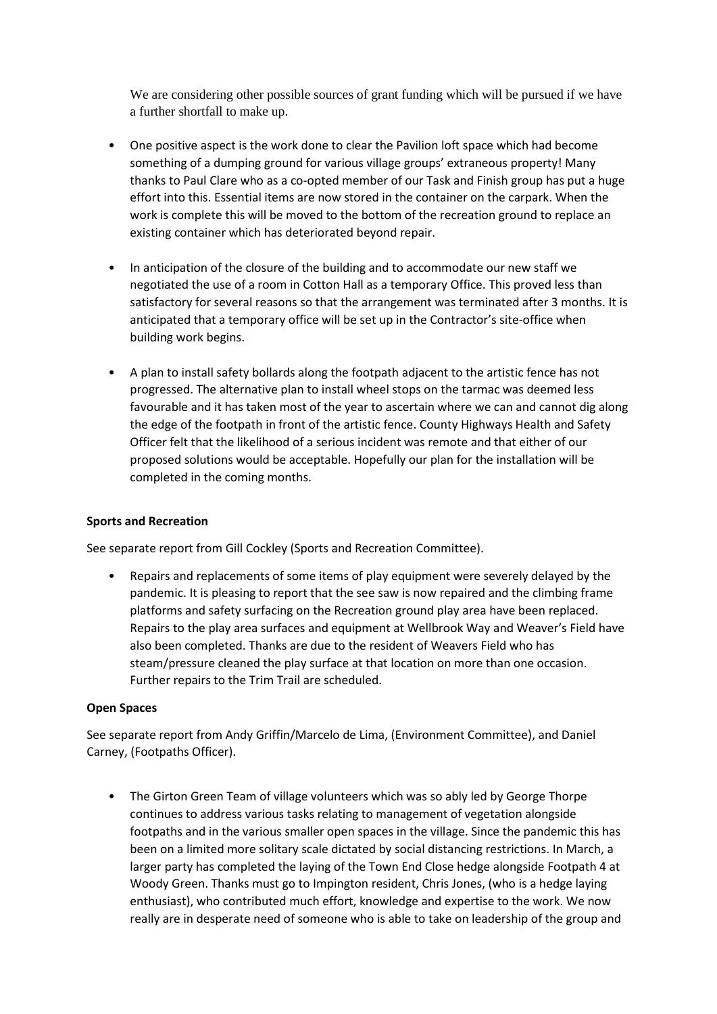We are considering other possible sources of grant funding which will be pursued if we have a further shortfall to make up.

- One positive aspect is the work done to clear the Pavilion loft space which had become something of a dumping ground for various village groups' extraneous property! Many thanks to Paul Clare who as a co-opted member of our Task and Finish group has put a huge effort into this. Essential items are now stored in the container on the carpark. When the work is complete this will be moved to the bottom of the recreation ground to replace an existing container which has deteriorated beyond repair.
- In anticipation of the closure of the building and to accommodate our new staff we negotiated the use of a room in Cotton Hall as a temporary Office. This proved less than satisfactory for several reasons so that the arrangement was terminated after 3 months. It is anticipated that a temporary office will be set up in the Contractor's site-office when building work begins.
- A plan to install safety bollards along the footpath adjacent to the artistic fence has not progressed. The alternative plan to install wheel stops on the tarmac was deemed less favourable and it has taken most of the year to ascertain where we can and cannot dig along the edge of the footpath in front of the artistic fence. County Highways Health and Safety Officer felt that the likelihood of a serious incident was remote and that either of our proposed solutions would be acceptable. Hopefully our plan for the installation will be completed in the coming months.

# **Sports and Recreation**

See separate report from Gill Cockley (Sports and Recreation Committee).

• Repairs and replacements of some items of play equipment were severely delayed by the pandemic. It is pleasing to report that the see saw is now repaired and the climbing frame platforms and safety surfacing on the Recreation ground play area have been replaced. Repairs to the play area surfaces and equipment at Wellbrook Way and Weaver's Field have also been completed. Thanks are due to the resident of Weavers Field who has steam/pressure cleaned the play surface at that location on more than one occasion. Further repairs to the Trim Trail are scheduled.

### **Open Spaces**

See separate report from Andy Griffin/Marcelo de Lima, (Environment Committee), and Daniel Carney, (Footpaths Officer).

• The Girton Green Team of village volunteers which was so ably led by George Thorpe continues to address various tasks relating to management of vegetation alongside footpaths and in the various smaller open spaces in the village. Since the pandemic this has been on a limited more solitary scale dictated by social distancing restrictions. In March, a larger party has completed the laying of the Town End Close hedge alongside Footpath 4 at Woody Green. Thanks must go to Impington resident, Chris Jones, (who is a hedge laying enthusiast), who contributed much effort, knowledge and expertise to the work. We now really are in desperate need of someone who is able to take on leadership of the group and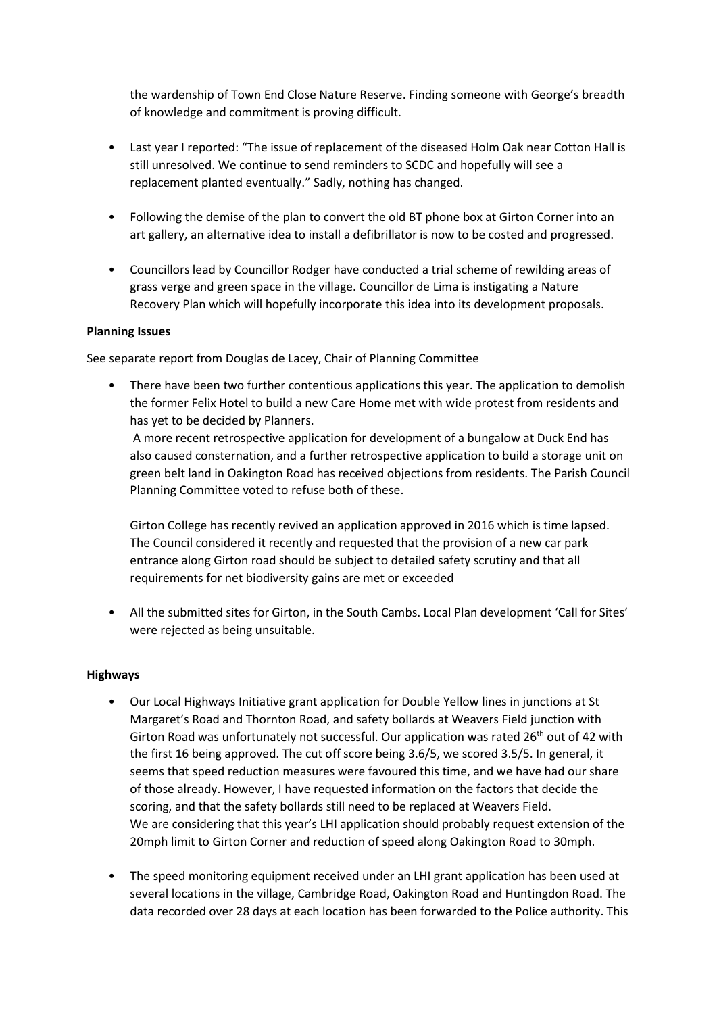the wardenship of Town End Close Nature Reserve. Finding someone with George's breadth of knowledge and commitment is proving difficult.

- Last year I reported: "The issue of replacement of the diseased Holm Oak near Cotton Hall is still unresolved. We continue to send reminders to SCDC and hopefully will see a replacement planted eventually." Sadly, nothing has changed.
- Following the demise of the plan to convert the old BT phone box at Girton Corner into an art gallery, an alternative idea to install a defibrillator is now to be costed and progressed.
- Councillors lead by Councillor Rodger have conducted a trial scheme of rewilding areas of grass verge and green space in the village. Councillor de Lima is instigating a Nature Recovery Plan which will hopefully incorporate this idea into its development proposals.

## **Planning Issues**

See separate report from Douglas de Lacey, Chair of Planning Committee

• There have been two further contentious applications this year. The application to demolish the former Felix Hotel to build a new Care Home met with wide protest from residents and has yet to be decided by Planners.

A more recent retrospective application for development of a bungalow at Duck End has also caused consternation, and a further retrospective application to build a storage unit on green belt land in Oakington Road has received objections from residents. The Parish Council Planning Committee voted to refuse both of these.

Girton College has recently revived an application approved in 2016 which is time lapsed. The Council considered it recently and requested that the provision of a new car park entrance along Girton road should be subject to detailed safety scrutiny and that all requirements for net biodiversity gains are met or exceeded

• All the submitted sites for Girton, in the South Cambs. Local Plan development 'Call for Sites' were rejected as being unsuitable.

### **Highways**

- Our Local Highways Initiative grant application for Double Yellow lines in junctions at St Margaret's Road and Thornton Road, and safety bollards at Weavers Field junction with Girton Road was unfortunately not successful. Our application was rated 26<sup>th</sup> out of 42 with the first 16 being approved. The cut off score being 3.6/5, we scored 3.5/5. In general, it seems that speed reduction measures were favoured this time, and we have had our share of those already. However, I have requested information on the factors that decide the scoring, and that the safety bollards still need to be replaced at Weavers Field. We are considering that this year's LHI application should probably request extension of the 20mph limit to Girton Corner and reduction of speed along Oakington Road to 30mph.
- The speed monitoring equipment received under an LHI grant application has been used at several locations in the village, Cambridge Road, Oakington Road and Huntingdon Road. The data recorded over 28 days at each location has been forwarded to the Police authority. This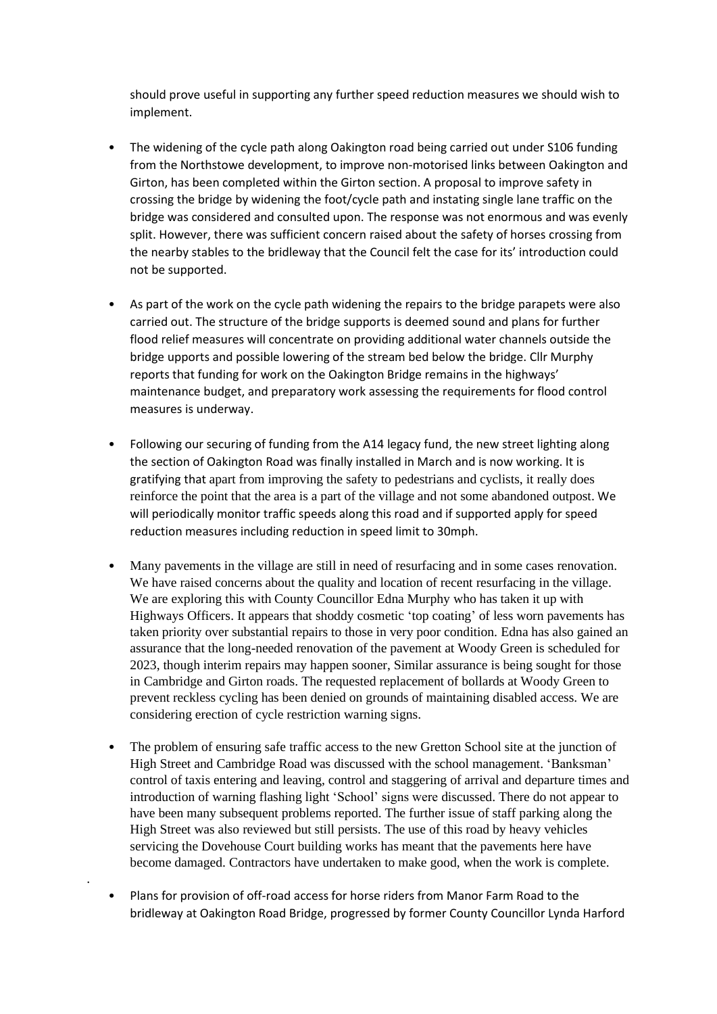should prove useful in supporting any further speed reduction measures we should wish to implement.

- The widening of the cycle path along Oakington road being carried out under S106 funding from the Northstowe development, to improve non-motorised links between Oakington and Girton, has been completed within the Girton section. A proposal to improve safety in crossing the bridge by widening the foot/cycle path and instating single lane traffic on the bridge was considered and consulted upon. The response was not enormous and was evenly split. However, there was sufficient concern raised about the safety of horses crossing from the nearby stables to the bridleway that the Council felt the case for its' introduction could not be supported.
- As part of the work on the cycle path widening the repairs to the bridge parapets were also carried out. The structure of the bridge supports is deemed sound and plans for further flood relief measures will concentrate on providing additional water channels outside the bridge upports and possible lowering of the stream bed below the bridge. Cllr Murphy reports that funding for work on the Oakington Bridge remains in the highways' maintenance budget, and preparatory work assessing the requirements for flood control measures is underway.
- Following our securing of funding from the A14 legacy fund, the new street lighting along the section of Oakington Road was finally installed in March and is now working. It is gratifying that apart from improving the safety to pedestrians and cyclists, it really does reinforce the point that the area is a part of the village and not some abandoned outpost. We will periodically monitor traffic speeds along this road and if supported apply for speed reduction measures including reduction in speed limit to 30mph.
- Many pavements in the village are still in need of resurfacing and in some cases renovation. We have raised concerns about the quality and location of recent resurfacing in the village. We are exploring this with County Councillor Edna Murphy who has taken it up with Highways Officers. It appears that shoddy cosmetic 'top coating' of less worn pavements has taken priority over substantial repairs to those in very poor condition. Edna has also gained an assurance that the long-needed renovation of the pavement at Woody Green is scheduled for 2023, though interim repairs may happen sooner, Similar assurance is being sought for those in Cambridge and Girton roads. The requested replacement of bollards at Woody Green to prevent reckless cycling has been denied on grounds of maintaining disabled access. We are considering erection of cycle restriction warning signs.
- The problem of ensuring safe traffic access to the new Gretton School site at the junction of High Street and Cambridge Road was discussed with the school management. 'Banksman' control of taxis entering and leaving, control and staggering of arrival and departure times and introduction of warning flashing light 'School' signs were discussed. There do not appear to have been many subsequent problems reported. The further issue of staff parking along the High Street was also reviewed but still persists. The use of this road by heavy vehicles servicing the Dovehouse Court building works has meant that the pavements here have become damaged. Contractors have undertaken to make good, when the work is complete.
- Plans for provision of off-road access for horse riders from Manor Farm Road to the bridleway at Oakington Road Bridge, progressed by former County Councillor Lynda Harford

.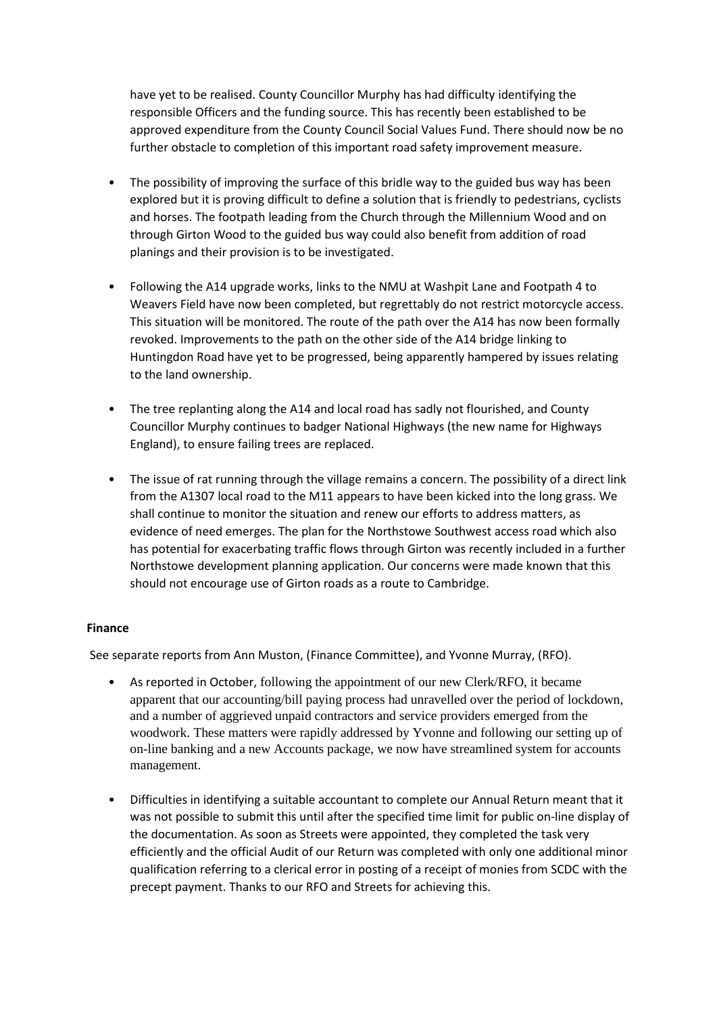have yet to be realised. County Councillor Murphy has had difficulty identifying the responsible Officers and the funding source. This has recently been established to be approved expenditure from the County Council Social Values Fund. There should now be no further obstacle to completion of this important road safety improvement measure.

- The possibility of improving the surface of this bridle way to the guided bus way has been explored but it is proving difficult to define a solution that is friendly to pedestrians, cyclists and horses. The footpath leading from the Church through the Millennium Wood and on through Girton Wood to the guided bus way could also benefit from addition of road planings and their provision is to be investigated.
- Following the A14 upgrade works, links to the NMU at Washpit Lane and Footpath 4 to Weavers Field have now been completed, but regrettably do not restrict motorcycle access. This situation will be monitored. The route of the path over the A14 has now been formally revoked. Improvements to the path on the other side of the A14 bridge linking to Huntingdon Road have yet to be progressed, being apparently hampered by issues relating to the land ownership.
- The tree replanting along the A14 and local road has sadly not flourished, and County Councillor Murphy continues to badger National Highways (the new name for Highways England), to ensure failing trees are replaced.
- The issue of rat running through the village remains a concern. The possibility of a direct link from the A1307 local road to the M11 appears to have been kicked into the long grass. We shall continue to monitor the situation and renew our efforts to address matters, as evidence of need emerges. The plan for the Northstowe Southwest access road which also has potential for exacerbating traffic flows through Girton was recently included in a further Northstowe development planning application. Our concerns were made known that this should not encourage use of Girton roads as a route to Cambridge.

### **Finance**

See separate reports from Ann Muston, (Finance Committee), and Yvonne Murray, (RFO).

- As reported in October, following the appointment of our new Clerk/RFO, it became apparent that our accounting/bill paying process had unravelled over the period of lockdown, and a number of aggrieved unpaid contractors and service providers emerged from the woodwork. These matters were rapidly addressed by Yvonne and following our setting up of on-line banking and a new Accounts package, we now have streamlined system for accounts management.
- Difficulties in identifying a suitable accountant to complete our Annual Return meant that it was not possible to submit this until after the specified time limit for public on-line display of the documentation. As soon as Streets were appointed, they completed the task very efficiently and the official Audit of our Return was completed with only one additional minor qualification referring to a clerical error in posting of a receipt of monies from SCDC with the precept payment. Thanks to our RFO and Streets for achieving this.